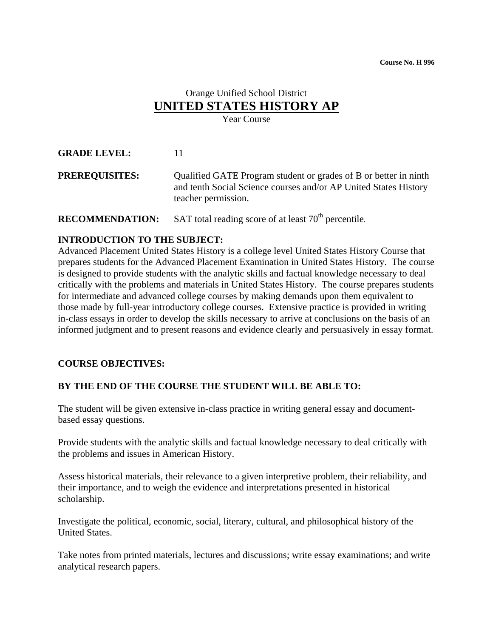### Orange Unified School District **UNITED STATES HISTORY AP** Year Course

**GRADE LEVEL:** 11

**PREREQUISITES:** Qualified GATE Program student or grades of B or better in ninth and tenth Social Science courses and/or AP United States History teacher permission.

**RECOMMENDATION:** SAT total reading score of at least 70<sup>th</sup> percentile.

### **INTRODUCTION TO THE SUBJECT:**

Advanced Placement United States History is a college level United States History Course that prepares students for the Advanced Placement Examination in United States History. The course is designed to provide students with the analytic skills and factual knowledge necessary to deal critically with the problems and materials in United States History. The course prepares students for intermediate and advanced college courses by making demands upon them equivalent to those made by full-year introductory college courses. Extensive practice is provided in writing in-class essays in order to develop the skills necessary to arrive at conclusions on the basis of an informed judgment and to present reasons and evidence clearly and persuasively in essay format.

### **COURSE OBJECTIVES:**

### **BY THE END OF THE COURSE THE STUDENT WILL BE ABLE TO:**

The student will be given extensive in-class practice in writing general essay and documentbased essay questions.

Provide students with the analytic skills and factual knowledge necessary to deal critically with the problems and issues in American History.

Assess historical materials, their relevance to a given interpretive problem, their reliability, and their importance, and to weigh the evidence and interpretations presented in historical scholarship.

Investigate the political, economic, social, literary, cultural, and philosophical history of the United States.

Take notes from printed materials, lectures and discussions; write essay examinations; and write analytical research papers.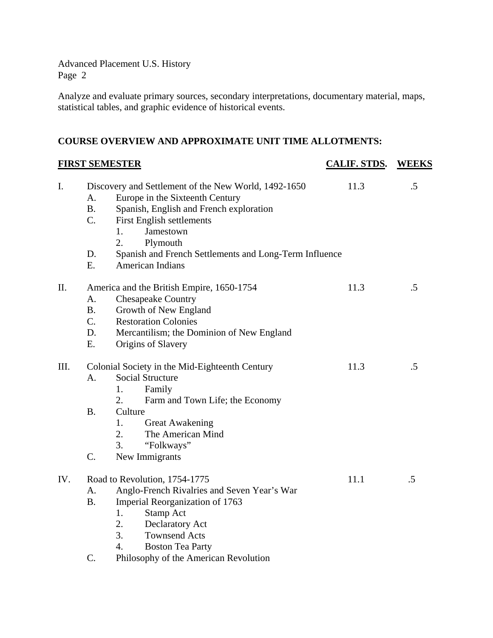Analyze and evaluate primary sources, secondary interpretations, documentary material, maps, statistical tables, and graphic evidence of historical events.

### **COURSE OVERVIEW AND APPROXIMATE UNIT TIME ALLOTMENTS:**

| <b>FIRST SEMESTER</b> |                                            |                                                                                                                                                                                                                                                                                           | <b>CALIF. STDS.</b> | <b>WEEKS</b> |  |
|-----------------------|--------------------------------------------|-------------------------------------------------------------------------------------------------------------------------------------------------------------------------------------------------------------------------------------------------------------------------------------------|---------------------|--------------|--|
| I.                    | A.<br><b>B.</b><br>C.<br>D.<br>E.          | Discovery and Settlement of the New World, 1492-1650<br>Europe in the Sixteenth Century<br>Spanish, English and French exploration<br>First English settlements<br>Jamestown<br>1.<br>2.<br>Plymouth<br>Spanish and French Settlements and Long-Term Influence<br><b>American Indians</b> | 11.3                | $.5\,$       |  |
| II.                   | A.<br><b>B.</b><br>$C_{\cdot}$<br>D.<br>E. | America and the British Empire, 1650-1754<br><b>Chesapeake Country</b><br>Growth of New England<br><b>Restoration Colonies</b><br>Mercantilism; the Dominion of New England<br>Origins of Slavery                                                                                         | 11.3                | $.5\,$       |  |
| III.                  | A.<br><b>B.</b><br>C.                      | Colonial Society in the Mid-Eighteenth Century<br><b>Social Structure</b><br>Family<br>1.<br>2.<br>Farm and Town Life; the Economy<br>Culture<br><b>Great Awakening</b><br>1.<br>2.<br>The American Mind<br>3.<br>"Folkways"<br>New Immigrants                                            | 11.3                | .5           |  |
| IV.                   | A.<br><b>B.</b><br>$C_{\cdot}$             | Road to Revolution, 1754-1775<br>Anglo-French Rivalries and Seven Year's War<br>Imperial Reorganization of 1763<br>1.<br>Stamp Act<br>2.<br>Declaratory Act<br>3.<br><b>Townsend Acts</b><br>$\overline{4}$ .<br><b>Boston Tea Party</b><br>Philosophy of the American Revolution         | 11.1                | .5           |  |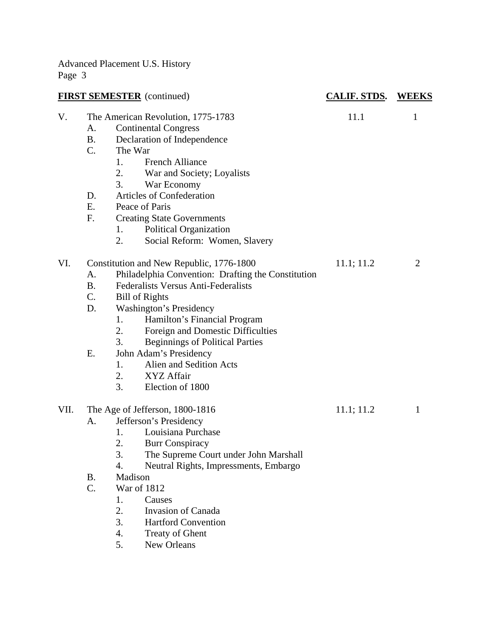| <b>FIRST SEMESTER</b> (continued) |           |                                                    | <b>CALIF. STDS.</b> | <b>WEEKS</b>   |  |
|-----------------------------------|-----------|----------------------------------------------------|---------------------|----------------|--|
| V.                                |           | The American Revolution, 1775-1783                 | 11.1                | $\mathbf{1}$   |  |
|                                   | А.        | <b>Continental Congress</b>                        |                     |                |  |
|                                   | <b>B.</b> | Declaration of Independence                        |                     |                |  |
|                                   | C.        | The War                                            |                     |                |  |
|                                   |           | <b>French Alliance</b><br>1.                       |                     |                |  |
|                                   |           | War and Society; Loyalists<br>2.                   |                     |                |  |
|                                   |           | 3.<br>War Economy                                  |                     |                |  |
|                                   | D.        | Articles of Confederation                          |                     |                |  |
|                                   | Ε.        | Peace of Paris                                     |                     |                |  |
|                                   | F.        | <b>Creating State Governments</b>                  |                     |                |  |
|                                   |           | Political Organization<br>1.                       |                     |                |  |
|                                   |           | Social Reform: Women, Slavery<br>2.                |                     |                |  |
| VI.                               |           | Constitution and New Republic, 1776-1800           | 11.1; 11.2          | $\overline{2}$ |  |
|                                   | A.        | Philadelphia Convention: Drafting the Constitution |                     |                |  |
|                                   | <b>B.</b> | Federalists Versus Anti-Federalists                |                     |                |  |
|                                   | C.        | <b>Bill of Rights</b>                              |                     |                |  |
|                                   | D.        | <b>Washington's Presidency</b>                     |                     |                |  |
|                                   |           | Hamilton's Financial Program<br>1.                 |                     |                |  |
|                                   |           | 2.<br>Foreign and Domestic Difficulties            |                     |                |  |
|                                   |           | 3.<br><b>Beginnings of Political Parties</b>       |                     |                |  |
|                                   | Ε.        | John Adam's Presidency                             |                     |                |  |
|                                   |           | Alien and Sedition Acts<br>1.                      |                     |                |  |
|                                   |           | 2.<br>XYZ Affair                                   |                     |                |  |
|                                   |           | 3.<br>Election of 1800                             |                     |                |  |
| VII.                              |           | The Age of Jefferson, 1800-1816                    | 11.1; 11.2          | $\mathbf{1}$   |  |
|                                   | A.        | Jefferson's Presidency                             |                     |                |  |
|                                   |           | Louisiana Purchase<br>1.                           |                     |                |  |
|                                   |           | 2.<br><b>Burr Conspiracy</b>                       |                     |                |  |
|                                   |           | 3.<br>The Supreme Court under John Marshall        |                     |                |  |
|                                   |           | 4.<br>Neutral Rights, Impressments, Embargo        |                     |                |  |
|                                   | В.        | Madison                                            |                     |                |  |
|                                   | C.        | War of 1812                                        |                     |                |  |
|                                   |           | 1.<br>Causes                                       |                     |                |  |
|                                   |           | 2.<br><b>Invasion of Canada</b>                    |                     |                |  |
|                                   |           | 3.<br><b>Hartford Convention</b>                   |                     |                |  |
|                                   |           | 4.<br><b>Treaty of Ghent</b>                       |                     |                |  |
|                                   |           | New Orleans<br>5.                                  |                     |                |  |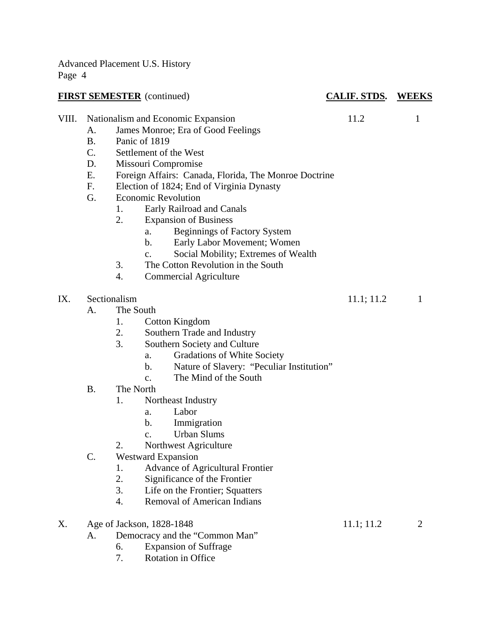|       |                                               | <b>FIRST SEMESTER</b> (continued)                                                                                                                                                                                                                                                                                                                                                                                                                                                                                                                                                                | <b>CALIF. STDS. WEEKS</b> |                |
|-------|-----------------------------------------------|--------------------------------------------------------------------------------------------------------------------------------------------------------------------------------------------------------------------------------------------------------------------------------------------------------------------------------------------------------------------------------------------------------------------------------------------------------------------------------------------------------------------------------------------------------------------------------------------------|---------------------------|----------------|
| VIII. | A.<br><b>B.</b><br>C.<br>D.<br>Ε.<br>F.<br>G. | Nationalism and Economic Expansion<br>James Monroe; Era of Good Feelings<br>Panic of 1819<br>Settlement of the West<br>Missouri Compromise<br>Foreign Affairs: Canada, Florida, The Monroe Doctrine<br>Election of 1824; End of Virginia Dynasty<br><b>Economic Revolution</b><br>Early Railroad and Canals<br>1.<br>2.<br><b>Expansion of Business</b><br><b>Beginnings of Factory System</b><br>a.<br>Early Labor Movement; Women<br>$\mathbf b$ .<br>Social Mobility; Extremes of Wealth<br>$\mathbf{C}$ .<br>The Cotton Revolution in the South<br>3.<br><b>Commercial Agriculture</b><br>4. | 11.2                      | 1              |
| IX.   | А.                                            | Sectionalism<br>The South<br>Cotton Kingdom<br>1.<br>2.<br>Southern Trade and Industry<br>3.<br>Southern Society and Culture<br><b>Gradations of White Society</b><br>a.<br>Nature of Slavery: "Peculiar Institution"<br>b.<br>The Mind of the South<br>$\mathbf{c}$ .                                                                                                                                                                                                                                                                                                                           | 11.1; 11.2                | 1              |
|       | <b>B.</b><br>C.                               | The North<br>Northeast Industry<br>1.<br>Labor<br>a.<br>Immigration<br>b.<br><b>Urban Slums</b><br>$\mathbf{c}$ .<br>2.<br>Northwest Agriculture<br><b>Westward Expansion</b><br><b>Advance of Agricultural Frontier</b><br>1.<br>2.<br>Significance of the Frontier<br>3.<br>Life on the Frontier; Squatters<br><b>Removal of American Indians</b><br>4.                                                                                                                                                                                                                                        |                           |                |
| X.    | A.                                            | Age of Jackson, 1828-1848<br>Democracy and the "Common Man"<br><b>Expansion of Suffrage</b><br>6.                                                                                                                                                                                                                                                                                                                                                                                                                                                                                                | 11.1; 11.2                | $\overline{2}$ |

7. Rotation in Office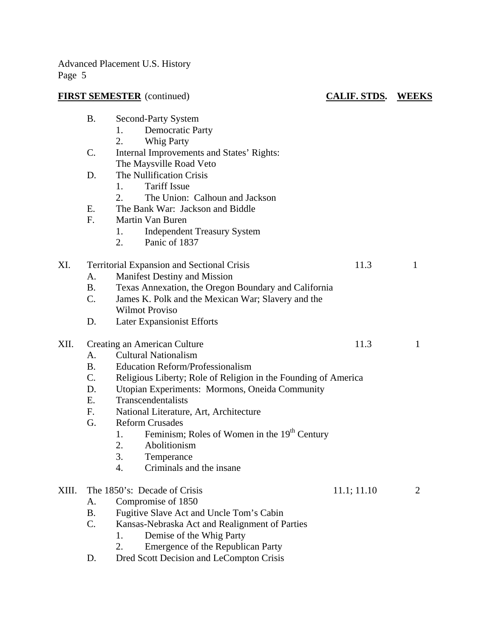# **FIRST SEMESTER** (continued) **CALIF. STDS. WEEKS**

|       | <b>B.</b>                                            | Second-Party System                                            |             |                |  |  |  |
|-------|------------------------------------------------------|----------------------------------------------------------------|-------------|----------------|--|--|--|
|       |                                                      | <b>Democratic Party</b><br>1.                                  |             |                |  |  |  |
|       |                                                      | 2.<br><b>Whig Party</b>                                        |             |                |  |  |  |
|       | C.                                                   | Internal Improvements and States' Rights:                      |             |                |  |  |  |
|       |                                                      | The Maysville Road Veto                                        |             |                |  |  |  |
|       | D.                                                   | The Nullification Crisis                                       |             |                |  |  |  |
|       |                                                      | <b>Tariff Issue</b><br>1.                                      |             |                |  |  |  |
|       |                                                      | 2.<br>The Union: Calhoun and Jackson                           |             |                |  |  |  |
|       | Ε.                                                   | The Bank War: Jackson and Biddle                               |             |                |  |  |  |
|       | F.                                                   | Martin Van Buren                                               |             |                |  |  |  |
|       |                                                      | <b>Independent Treasury System</b><br>1.                       |             |                |  |  |  |
|       |                                                      | 2.<br>Panic of 1837                                            |             |                |  |  |  |
| XI.   |                                                      | <b>Territorial Expansion and Sectional Crisis</b>              | 11.3        | $\mathbf{1}$   |  |  |  |
|       | A.                                                   | Manifest Destiny and Mission                                   |             |                |  |  |  |
|       | <b>B.</b>                                            | Texas Annexation, the Oregon Boundary and California           |             |                |  |  |  |
|       | C.                                                   | James K. Polk and the Mexican War; Slavery and the             |             |                |  |  |  |
|       |                                                      | <b>Wilmot Proviso</b>                                          |             |                |  |  |  |
|       | D.                                                   | <b>Later Expansionist Efforts</b>                              |             |                |  |  |  |
| XII.  | Creating an American Culture<br>11.3<br>$\mathbf{1}$ |                                                                |             |                |  |  |  |
|       | A.                                                   | <b>Cultural Nationalism</b>                                    |             |                |  |  |  |
|       | <b>B.</b>                                            | <b>Education Reform/Professionalism</b>                        |             |                |  |  |  |
|       | C.                                                   | Religious Liberty; Role of Religion in the Founding of America |             |                |  |  |  |
|       | D.                                                   | Utopian Experiments: Mormons, Oneida Community                 |             |                |  |  |  |
|       | Ε.                                                   | Transcendentalists                                             |             |                |  |  |  |
|       | $F_{\cdot}$                                          | National Literature, Art, Architecture                         |             |                |  |  |  |
|       | G.                                                   | <b>Reform Crusades</b>                                         |             |                |  |  |  |
|       |                                                      | Feminism; Roles of Women in the 19 <sup>th</sup> Century<br>1. |             |                |  |  |  |
|       |                                                      | Abolitionism<br>2.                                             |             |                |  |  |  |
|       |                                                      | 3.<br>Temperance                                               |             |                |  |  |  |
|       |                                                      | Criminals and the insane<br>4.                                 |             |                |  |  |  |
| XIII. |                                                      | The 1850's: Decade of Crisis                                   | 11.1; 11.10 | $\overline{2}$ |  |  |  |
|       | A.                                                   | Compromise of 1850                                             |             |                |  |  |  |
|       | <b>B.</b>                                            | Fugitive Slave Act and Uncle Tom's Cabin                       |             |                |  |  |  |
|       | $C$ .                                                | Kansas-Nebraska Act and Realignment of Parties                 |             |                |  |  |  |
|       |                                                      | Demise of the Whig Party<br>1.                                 |             |                |  |  |  |
|       |                                                      | Emergence of the Republican Party<br>2.                        |             |                |  |  |  |

D. Dred Scott Decision and LeCompton Crisis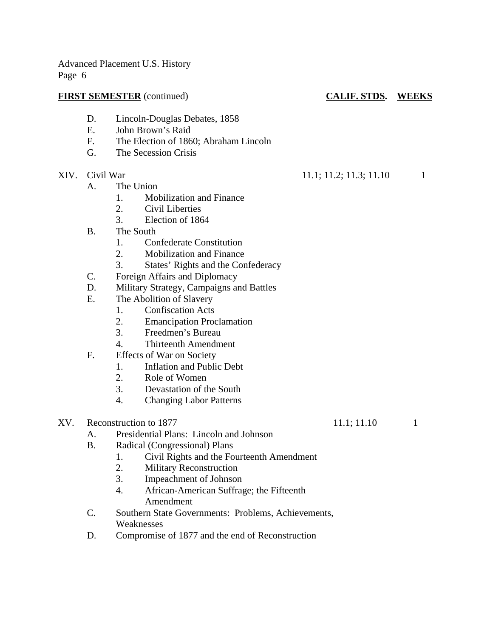### **FIRST SEMESTER** (continued) **CALIF. STDS. WEEKS**

### D. Lincoln-Douglas Debates, 1858

- E. John Brown's Raid
- F. The Election of 1860; Abraham Lincoln
- G. The Secession Crisis
- - A. The Union
		- 1. Mobilization and Finance
		- 2. Civil Liberties
		- 3. Election of 1864
	- B. The South
		- 1. Confederate Constitution
		- 2. Mobilization and Finance
		- 3. States' Rights and the Confederacy
	- C. Foreign Affairs and Diplomacy
	- D. Military Strategy, Campaigns and Battles
	- E. The Abolition of Slavery
		- 1. Confiscation Acts
			- 2. Emancipation Proclamation
			- 3. Freedmen's Bureau
		- 4. Thirteenth Amendment
	- F. Effects of War on Society
		- 1. Inflation and Public Debt
		- 2. Role of Women
		- 3. Devastation of the South
		- 4. Changing Labor Patterns
- $XV.$  Reconstruction to 1877 11.1; 11.10 1
	- A. Presidential Plans: Lincoln and Johnson
	- B. Radical (Congressional) Plans
		- 1. Civil Rights and the Fourteenth Amendment
		- 2. Military Reconstruction
		- 3. Impeachment of Johnson
		- 4. African-American Suffrage; the Fifteenth Amendment
	- C. Southern State Governments: Problems, Achievements, Weaknesses
	- D. Compromise of 1877 and the end of Reconstruction

XIV. Civil War 11.1; 11.2; 11.3; 11.10 1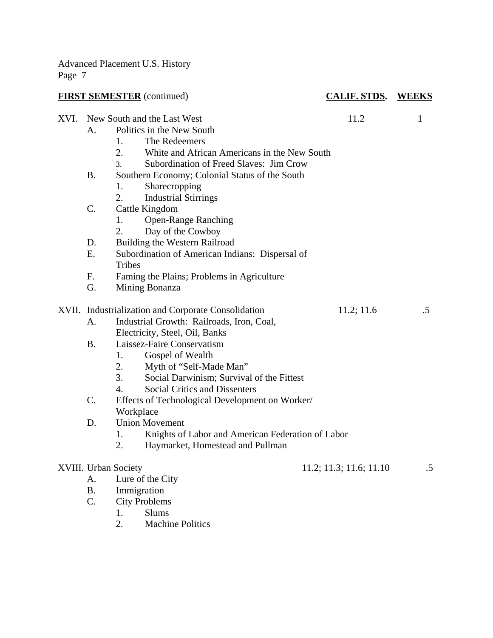| <b>FIRST SEMESTER</b> (continued) |                 |                                                                                                                                                                                                   | <b>CALIF. STDS. WEEKS</b> |              |  |  |
|-----------------------------------|-----------------|---------------------------------------------------------------------------------------------------------------------------------------------------------------------------------------------------|---------------------------|--------------|--|--|
| XVI.                              | $\mathsf{A}$ .  | New South and the Last West<br>Politics in the New South<br>The Redeemers<br>1.<br>2.<br>White and African Americans in the New South<br>Subordination of Freed Slaves: Jim Crow<br>$\mathcal{E}$ | 11.2                      | $\mathbf{1}$ |  |  |
|                                   | <b>B.</b>       | Southern Economy; Colonial Status of the South<br>Sharecropping<br>1.<br>2.<br><b>Industrial Stirrings</b>                                                                                        |                           |              |  |  |
|                                   | C.              | Cattle Kingdom<br><b>Open-Range Ranching</b><br>1.<br>2.<br>Day of the Cowboy                                                                                                                     |                           |              |  |  |
|                                   | D.              | Building the Western Railroad                                                                                                                                                                     |                           |              |  |  |
|                                   | E.              | Subordination of American Indians: Dispersal of<br><b>Tribes</b>                                                                                                                                  |                           |              |  |  |
|                                   | F.              | Faming the Plains; Problems in Agriculture                                                                                                                                                        |                           |              |  |  |
|                                   | G.              | Mining Bonanza                                                                                                                                                                                    |                           |              |  |  |
|                                   |                 | XVII. Industrialization and Corporate Consolidation                                                                                                                                               | 11.2; 11.6                | $.5\,$       |  |  |
|                                   | А.              | Industrial Growth: Railroads, Iron, Coal,                                                                                                                                                         |                           |              |  |  |
|                                   |                 | Electricity, Steel, Oil, Banks                                                                                                                                                                    |                           |              |  |  |
|                                   | <b>B.</b>       | Laissez-Faire Conservatism                                                                                                                                                                        |                           |              |  |  |
|                                   |                 | 1.<br>Gospel of Wealth                                                                                                                                                                            |                           |              |  |  |
|                                   |                 | Myth of "Self-Made Man"<br>2.                                                                                                                                                                     |                           |              |  |  |
|                                   |                 | 3.<br>Social Darwinism; Survival of the Fittest                                                                                                                                                   |                           |              |  |  |
|                                   |                 | $\overline{4}$ .<br><b>Social Critics and Dissenters</b>                                                                                                                                          |                           |              |  |  |
|                                   | $\mathcal{C}$ . | Effects of Technological Development on Worker/                                                                                                                                                   |                           |              |  |  |
|                                   |                 | Workplace                                                                                                                                                                                         |                           |              |  |  |
|                                   | D.              | <b>Union Movement</b>                                                                                                                                                                             |                           |              |  |  |
|                                   |                 | 1.<br>Knights of Labor and American Federation of Labor                                                                                                                                           |                           |              |  |  |
|                                   |                 | 2.<br>Haymarket, Homestead and Pullman                                                                                                                                                            |                           |              |  |  |
|                                   |                 | XVIII. Urban Society                                                                                                                                                                              | 11.2; 11.3; 11.6; 11.10   | $.5\,$       |  |  |
|                                   | A.              | Lure of the City                                                                                                                                                                                  |                           |              |  |  |
|                                   | <b>B.</b>       | Immigration                                                                                                                                                                                       |                           |              |  |  |
|                                   | $\mathcal{C}$ . | <b>City Problems</b>                                                                                                                                                                              |                           |              |  |  |

- 1. Slums<br>2. Machin
	- Machine Politics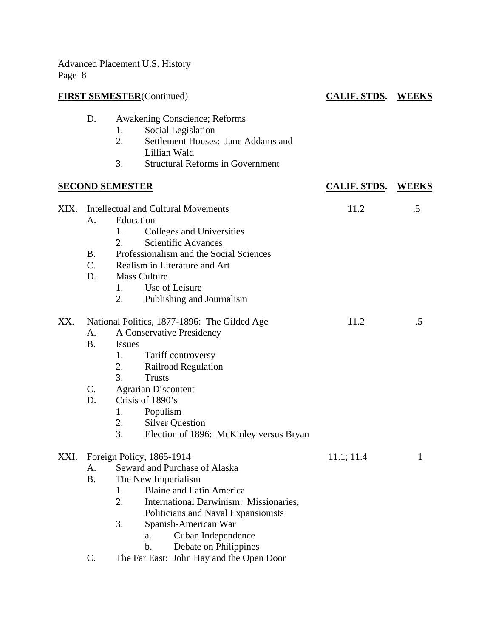| <b>FIRST SEMESTER</b> (Continued) |                                      |                                                                                                                                                                                                                                                                                                                                                        | <b>CALIF. STDS. WEEKS</b> |    |
|-----------------------------------|--------------------------------------|--------------------------------------------------------------------------------------------------------------------------------------------------------------------------------------------------------------------------------------------------------------------------------------------------------------------------------------------------------|---------------------------|----|
|                                   | D.                                   | <b>Awakening Conscience; Reforms</b><br>Social Legislation<br>1.<br>Settlement Houses: Jane Addams and<br>2.<br>Lillian Wald<br>3.<br><b>Structural Reforms in Government</b>                                                                                                                                                                          |                           |    |
|                                   |                                      | <b>SECOND SEMESTER</b>                                                                                                                                                                                                                                                                                                                                 | <b>CALIF. STDS. WEEKS</b> |    |
| XIX.                              | A.<br><b>B</b> .<br>C.<br>D.         | <b>Intellectual and Cultural Movements</b><br>Education<br>1.<br>Colleges and Universities<br><b>Scientific Advances</b><br>2.<br>Professionalism and the Social Sciences<br>Realism in Literature and Art<br><b>Mass Culture</b><br>Use of Leisure<br>1.<br>2.<br>Publishing and Journalism                                                           | 11.2                      | .5 |
| XX.                               | A.<br><b>B.</b><br>$C_{\cdot}$<br>D. | National Politics, 1877-1896: The Gilded Age<br>A Conservative Presidency<br><i>Issues</i><br>Tariff controversy<br>1.<br>Railroad Regulation<br>2.<br>3.<br><b>Trusts</b><br><b>Agrarian Discontent</b><br>Crisis of 1890's<br>Populism<br>1.<br>2.<br><b>Silver Question</b><br>3.<br>Election of 1896: McKinley versus Bryan                        | 11.2                      | .5 |
| XXI.                              | A.<br><b>B.</b><br>$\mathsf{C}.$     | Foreign Policy, 1865-1914<br>Seward and Purchase of Alaska<br>The New Imperialism<br><b>Blaine and Latin America</b><br>1.<br>2.<br>International Darwinism: Missionaries,<br>Politicians and Naval Expansionists<br>3.<br>Spanish-American War<br>Cuban Independence<br>a.<br>b.<br>Debate on Philippines<br>The Far East: John Hay and the Open Door | 11.1; 11.4                | 1  |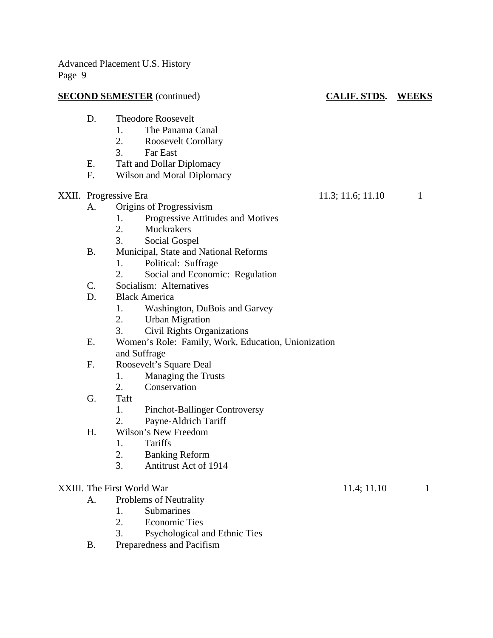### **SECOND SEMESTER** (continued) **CALIF. STDS.** WEEKS

- D. Theodore Roosevelt
	- 1. The Panama Canal
	- 2. Roosevelt Corollary
	- 3. Far East
- E. Taft and Dollar Diplomacy
- F. Wilson and Moral Diplomacy
- - A. Origins of Progressivism
		- 1. Progressive Attitudes and Motives
		- 2. Muckrakers
		- 3. Social Gospel
	- B. Municipal, State and National Reforms
		- 1. Political: Suffrage
		- 2. Social and Economic: Regulation
	- C. Socialism: Alternatives
	- D. Black America
		- 1. Washington, DuBois and Garvey
		- 2. Urban Migration
		- 3. Civil Rights Organizations
	- E. Women's Role: Family, Work, Education, Unionization and Suffrage
	- F. Roosevelt's Square Deal
		- 1. Managing the Trusts
		- 2. Conservation
	- G. Taft
		- 1. Pinchot-Ballinger Controversy
		- 2. Payne-Aldrich Tariff
	- H. Wilson's New Freedom
		- 1. Tariffs
		- 2. Banking Reform
		- 3. Antitrust Act of 1914

### XXIII. The First World War 11.4; 11.10 1

- A. Problems of Neutrality
	- 1. Submarines
	- 2. Economic Ties
	- 3. Psychological and Ethnic Ties
- B. Preparedness and Pacifism

XXII. Progressive Era 11.3; 11.6; 11.10 1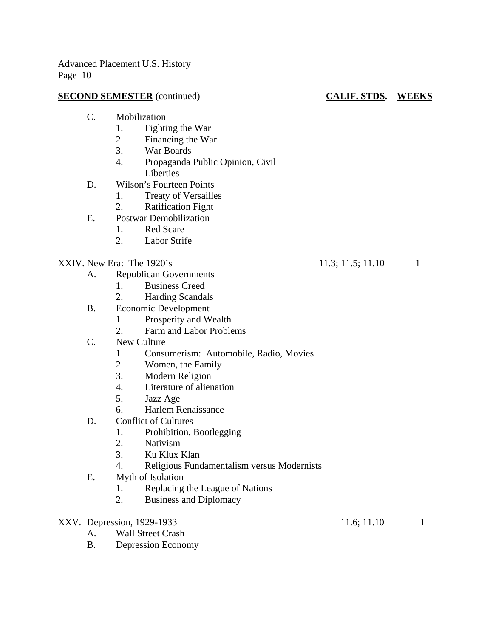### **SECOND SEMESTER** (continued) **CALIF. STDS.** WEEKS

- C. Mobilization
	- 1. Fighting the War
	- 2. Financing the War
	- 3. War Boards
	- 4. Propaganda Public Opinion, Civil Liberties
- D. Wilson's Fourteen Points
	- 1. Treaty of Versailles
	- 2. Ratification Fight
- E. Postwar Demobilization
	- 1. Red Scare
	- 2. Labor Strife

# XXIV. New Era: The 1920's 11.3; 11.5; 11.10 1

- A. Republican Governments
	- 1. Business Creed
	- 2. Harding Scandals
- B. Economic Development
	- 1. Prosperity and Wealth
	- 2. Farm and Labor Problems
- C. New Culture
	- 1. Consumerism: Automobile, Radio, Movies
	- 2. Women, the Family
	- 3. Modern Religion
	- 4. Literature of alienation
	- 5. Jazz Age
	- 6. Harlem Renaissance
- D. Conflict of Cultures
	- 1. Prohibition, Bootlegging
	- 2. Nativism
	- 3. Ku Klux Klan
	- 4. Religious Fundamentalism versus Modernists
- E. Myth of Isolation
	- 1. Replacing the League of Nations
	- 2. Business and Diplomacy
- XXV. Depression, 1929-1933 11.6; 11.10 1
	- A. Wall Street Crash
	- B. Depression Economy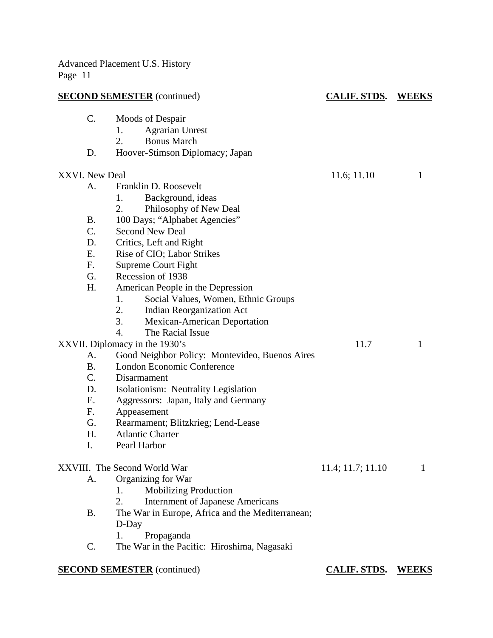|                | <b>SECOND SEMESTER</b> (continued)               | <b>CALIF. STDS.</b> | <b>WEEKS</b> |
|----------------|--------------------------------------------------|---------------------|--------------|
| C.             | Moods of Despair                                 |                     |              |
|                | <b>Agrarian Unrest</b><br>1.                     |                     |              |
|                | <b>Bonus March</b><br>2.                         |                     |              |
| D.             | Hoover-Stimson Diplomacy; Japan                  |                     |              |
| XXVI. New Deal |                                                  | 11.6; 11.10         | 1            |
| A.             | Franklin D. Roosevelt                            |                     |              |
|                | Background, ideas<br>1.                          |                     |              |
|                | Philosophy of New Deal<br>2.                     |                     |              |
| <b>B.</b>      | 100 Days; "Alphabet Agencies"                    |                     |              |
| C.             | <b>Second New Deal</b>                           |                     |              |
| D.             | Critics, Left and Right                          |                     |              |
| Ε.             | Rise of CIO; Labor Strikes                       |                     |              |
| $F_{\cdot}$    | Supreme Court Fight                              |                     |              |
| G.             | Recession of 1938                                |                     |              |
| H.             | American People in the Depression                |                     |              |
|                | Social Values, Women, Ethnic Groups<br>1.        |                     |              |
|                | 2.<br><b>Indian Reorganization Act</b>           |                     |              |
|                | 3.<br>Mexican-American Deportation               |                     |              |
|                | 4.<br>The Racial Issue                           |                     |              |
|                | XXVII. Diplomacy in the 1930's                   | 11.7                | 1            |
| A.             | Good Neighbor Policy: Montevideo, Buenos Aires   |                     |              |
| <b>B.</b>      | London Economic Conference                       |                     |              |
| C.             | Disarmament                                      |                     |              |
| D.             | Isolationism: Neutrality Legislation             |                     |              |
| Ε.             | Aggressors: Japan, Italy and Germany             |                     |              |
| F.             | Appeasement                                      |                     |              |
| G.             | Rearmament; Blitzkrieg; Lend-Lease               |                     |              |
| H.             | <b>Atlantic Charter</b>                          |                     |              |
| I.             | Pearl Harbor                                     |                     |              |
|                | XXVIII. The Second World War                     | 11.4; 11.7; 11.10   | 1            |
| А.             | Organizing for War                               |                     |              |
|                | <b>Mobilizing Production</b><br>1.               |                     |              |
|                | 2.<br><b>Internment of Japanese Americans</b>    |                     |              |
| <b>B.</b>      | The War in Europe, Africa and the Mediterranean; |                     |              |
|                | D-Day                                            |                     |              |
|                | Propaganda<br>1.                                 |                     |              |
| C.             | The War in the Pacific: Hiroshima, Nagasaki      |                     |              |
|                |                                                  |                     |              |
|                |                                                  |                     |              |

**SECOND SEMESTER** (continued) **CALIF. STDS.** WEEKS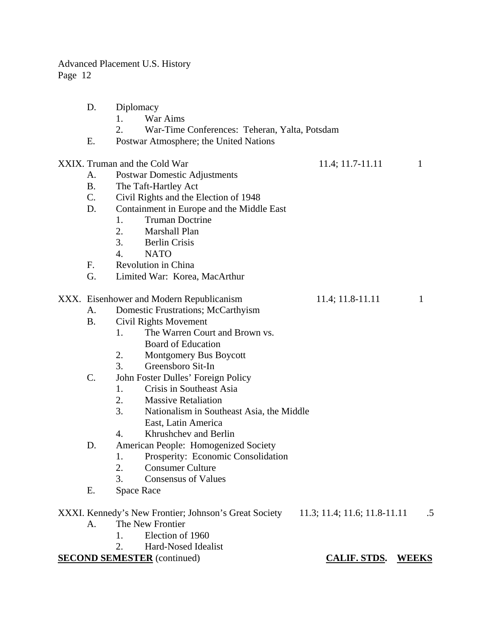| D.        | Diplomacy         |                                                                                    |                           |              |
|-----------|-------------------|------------------------------------------------------------------------------------|---------------------------|--------------|
|           | 1.                | War Aims                                                                           |                           |              |
|           | 2.                | War-Time Conferences: Teheran, Yalta, Potsdam                                      |                           |              |
| Ε.        |                   | Postwar Atmosphere; the United Nations                                             |                           |              |
|           |                   | XXIX. Truman and the Cold War                                                      | 11.4; 11.7-11.11          | $\mathbf{1}$ |
| А.        |                   | <b>Postwar Domestic Adjustments</b>                                                |                           |              |
| <b>B.</b> |                   | The Taft-Hartley Act                                                               |                           |              |
| C.        |                   | Civil Rights and the Election of 1948                                              |                           |              |
| D.        |                   | Containment in Europe and the Middle East                                          |                           |              |
|           | 1.                | <b>Truman Doctrine</b>                                                             |                           |              |
|           | 2.                | Marshall Plan                                                                      |                           |              |
|           | 3.                | <b>Berlin Crisis</b>                                                               |                           |              |
|           | $\overline{4}$ .  | <b>NATO</b>                                                                        |                           |              |
| F.        |                   | Revolution in China                                                                |                           |              |
| G.        |                   | Limited War: Korea, MacArthur                                                      |                           |              |
|           |                   | XXX. Eisenhower and Modern Republicanism                                           | $11.4; 11.8-11.11$        | 1            |
| А.        |                   | Domestic Frustrations; McCarthyism                                                 |                           |              |
| <b>B.</b> |                   | Civil Rights Movement                                                              |                           |              |
|           | 1.                | The Warren Court and Brown vs.                                                     |                           |              |
|           |                   | <b>Board of Education</b>                                                          |                           |              |
|           | 2.                | Montgomery Bus Boycott                                                             |                           |              |
|           | 3.                | Greensboro Sit-In                                                                  |                           |              |
| C.        |                   | John Foster Dulles' Foreign Policy                                                 |                           |              |
|           | 1.                | Crisis in Southeast Asia                                                           |                           |              |
|           | 2.                | <b>Massive Retaliation</b>                                                         |                           |              |
|           | 3.                | Nationalism in Southeast Asia, the Middle                                          |                           |              |
|           |                   | East, Latin America                                                                |                           |              |
|           | 4.                | Khrushchev and Berlin                                                              |                           |              |
| D.        |                   | American People: Homogenized Society                                               |                           |              |
|           | 1.                | Prosperity: Economic Consolidation                                                 |                           |              |
|           | 2.                | <b>Consumer Culture</b>                                                            |                           |              |
|           | 3.                | <b>Consensus of Values</b>                                                         |                           |              |
| Е.        | <b>Space Race</b> |                                                                                    |                           |              |
|           |                   | XXXI. Kennedy's New Frontier; Johnson's Great Society 11.3; 11.4; 11.6; 11.8-11.11 |                           | .5           |
| A.        |                   | The New Frontier                                                                   |                           |              |
|           | 1.                | Election of 1960                                                                   |                           |              |
|           | 2.                | Hard-Nosed Idealist                                                                |                           |              |
|           |                   | <b>SECOND SEMESTER</b> (continued)                                                 | <b>CALIF. STDS. WEEKS</b> |              |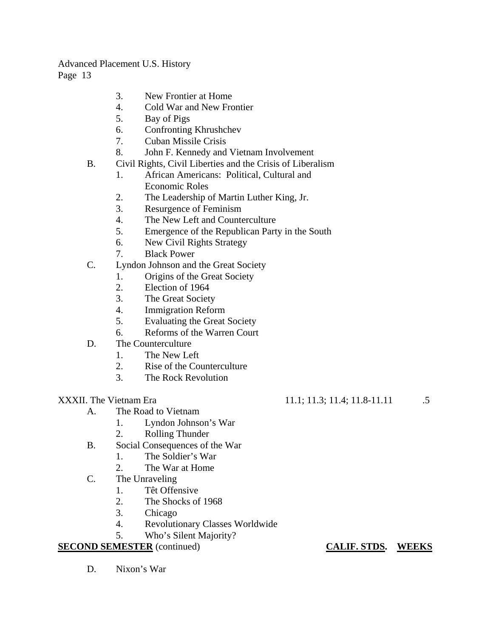- 3. New Frontier at Home
- 4. Cold War and New Frontier
- 5. Bay of Pigs
- 6. Confronting Khrushchev
- 7. Cuban Missile Crisis
- 8. John F. Kennedy and Vietnam Involvement
- B. Civil Rights, Civil Liberties and the Crisis of Liberalism
	- 1. African Americans: Political, Cultural and Economic Roles
	- 2. The Leadership of Martin Luther King, Jr.
	- 3. Resurgence of Feminism
	- 4. The New Left and Counterculture
	- 5. Emergence of the Republican Party in the South
	- 6. New Civil Rights Strategy
	- 7. Black Power
- C. Lyndon Johnson and the Great Society
	- 1. Origins of the Great Society
	- 2. Election of 1964
	- 3. The Great Society
	- 4. Immigration Reform
	- 5. Evaluating the Great Society
	- 6. Reforms of the Warren Court
- D. The Counterculture
	- 1. The New Left
	- 2. Rise of the Counterculture
	- 3. The Rock Revolution

- A. The Road to Vietnam
	- 1. Lyndon Johnson's War
	- 2. Rolling Thunder
- B. Social Consequences of the War
	- 1. The Soldier's War
	- 2. The War at Home
- C. The Unraveling
	- 1. Têt Offensive
	- 2. The Shocks of 1968
	- 3. Chicago
	- 4. Revolutionary Classes Worldwide
	- 5. Who's Silent Majority?

# **SECOND SEMESTER** (continued) **CALIF. STDS. WEEKS**

D. Nixon's War

# XXXII. The Vietnam Era 11.1; 11.3; 11.4; 11.8-11.11 .5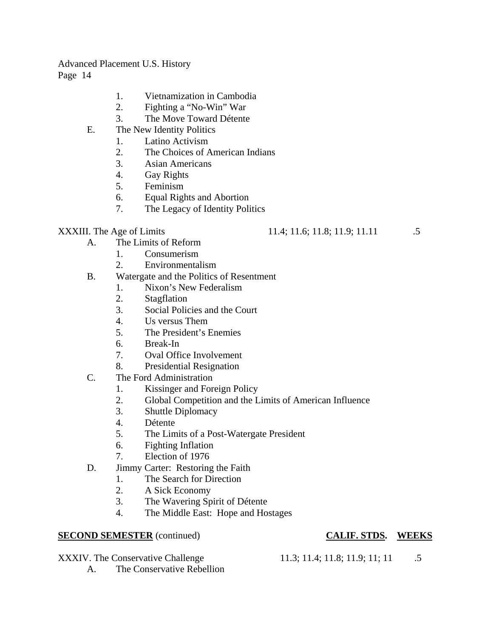- 1. Vietnamization in Cambodia
- 2. Fighting a "No-Win" War
- 3. The Move Toward Détente
- E. The New Identity Politics
	- 1. Latino Activism
	- 2. The Choices of American Indians
	- 3. Asian Americans
	- 4. Gay Rights
	- 5. Feminism
	- 6. Equal Rights and Abortion
	- 7. The Legacy of Identity Politics

XXXIII. The Age of Limits 11.4; 11.6; 11.8; 11.9; 11.11 .5

- A. The Limits of Reform
	- 1. Consumerism
	- 2. Environmentalism
- B. Watergate and the Politics of Resentment
	- 1. Nixon's New Federalism
	- 2. Stagflation
	- 3. Social Policies and the Court
	- 4. Us versus Them
	- 5. The President's Enemies
	- 6. Break-In
	- 7. Oval Office Involvement
	- 8. Presidential Resignation
- C. The Ford Administration
	- 1. Kissinger and Foreign Policy
	- 2. Global Competition and the Limits of American Influence
	- 3. Shuttle Diplomacy
	- 4. Détente
	- 5. The Limits of a Post-Watergate President
	- 6. Fighting Inflation
	- 7. Election of 1976
- D. Jimmy Carter: Restoring the Faith
	- 1. The Search for Direction
	- 2. A Sick Economy
	- 3. The Wavering Spirit of Détente
	- 4. The Middle East: Hope and Hostages

### **SECOND SEMESTER** (continued) **CALIF. STDS.** WEEKS

### XXXIV. The Conservative Challenge 11.3; 11.4; 11.8; 11.9; 11; 11 .5

- 
- A. The Conservative Rebellion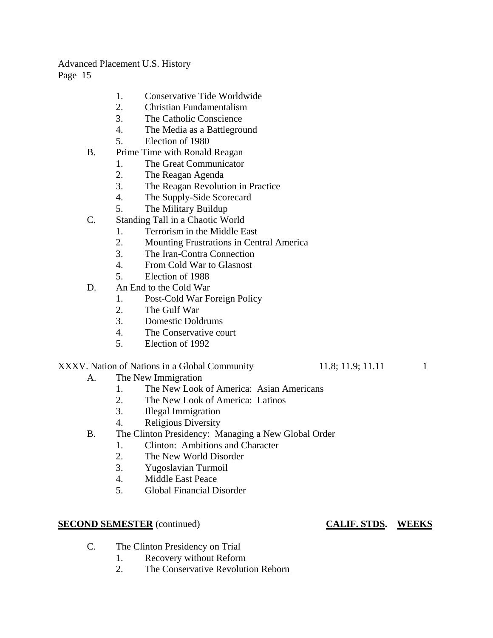- 1. Conservative Tide Worldwide
- 2. Christian Fundamentalism
- 3. The Catholic Conscience
- 4. The Media as a Battleground
- 5. Election of 1980
- B. Prime Time with Ronald Reagan
	- 1. The Great Communicator
	- 2. The Reagan Agenda
	- 3. The Reagan Revolution in Practice
	- 4. The Supply-Side Scorecard
	- 5. The Military Buildup
- C. Standing Tall in a Chaotic World
	- 1. Terrorism in the Middle East
	- 2. Mounting Frustrations in Central America
	- 3. The Iran-Contra Connection
	- 4. From Cold War to Glasnost
	- 5. Election of 1988
- D. An End to the Cold War
	- 1. Post-Cold War Foreign Policy
	- 2. The Gulf War
	- 3. Domestic Doldrums
	- 4. The Conservative court
	- 5. Election of 1992

### XXXV. Nation of Nations in a Global Community 11.8; 11.9; 11.11 11

- A. The New Immigration
	- 1. The New Look of America: Asian Americans
	- 2. The New Look of America: Latinos
	- 3. Illegal Immigration
	- 4. Religious Diversity
- B. The Clinton Presidency: Managing a New Global Order
	- 1. Clinton: Ambitions and Character
	- 2. The New World Disorder
	- 3. Yugoslavian Turmoil
	- 4. Middle East Peace
	- 5. Global Financial Disorder

### **SECOND SEMESTER** (continued) **CALIF. STDS. WEEKS**

- C. The Clinton Presidency on Trial
	- 1. Recovery without Reform
	- 2. The Conservative Revolution Reborn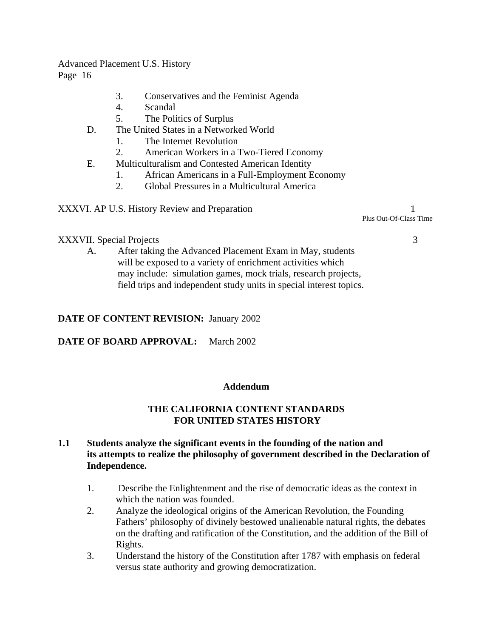- 3. Conservatives and the Feminist Agenda
- 4. Scandal
- 5. The Politics of Surplus
- D. The United States in a Networked World
	- 1. The Internet Revolution
	- 2. American Workers in a Two-Tiered Economy
- E. Multiculturalism and Contested American Identity
	- 1. African Americans in a Full-Employment Economy
	- 2. Global Pressures in a Multicultural America

XXXVI. AP U.S. History Review and Preparation 1 Plus Out-Of-Class Time

### XXXVII. Special Projects 3

A. After taking the Advanced Placement Exam in May, students will be exposed to a variety of enrichment activities which may include: simulation games, mock trials, research projects, field trips and independent study units in special interest topics.

### **DATE OF CONTENT REVISION:** January 2002

### **DATE OF BOARD APPROVAL:** March 2002

### **Addendum**

### **THE CALIFORNIA CONTENT STANDARDS FOR UNITED STATES HISTORY**

### **1.1 Students analyze the significant events in the founding of the nation and its attempts to realize the philosophy of government described in the Declaration of Independence.**

- 1. Describe the Enlightenment and the rise of democratic ideas as the context in which the nation was founded.
- 2. Analyze the ideological origins of the American Revolution, the Founding Fathers' philosophy of divinely bestowed unalienable natural rights, the debates on the drafting and ratification of the Constitution, and the addition of the Bill of Rights.
- 3. Understand the history of the Constitution after 1787 with emphasis on federal versus state authority and growing democratization.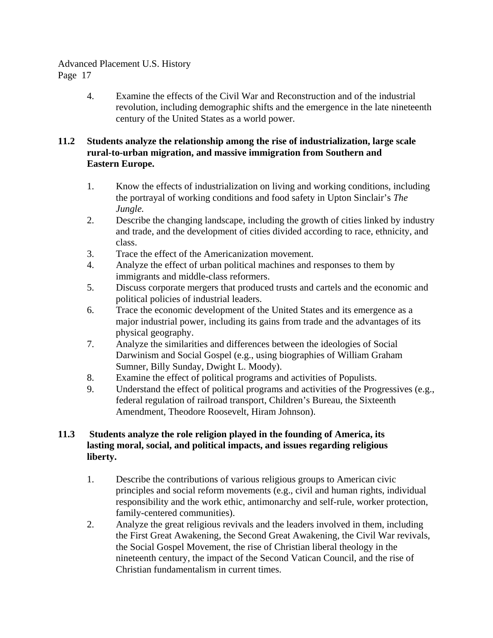4. Examine the effects of the Civil War and Reconstruction and of the industrial revolution, including demographic shifts and the emergence in the late nineteenth century of the United States as a world power.

# **11.2 Students analyze the relationship among the rise of industrialization, large scale rural-to-urban migration, and massive immigration from Southern and Eastern Europe.**

- 1. Know the effects of industrialization on living and working conditions, including the portrayal of working conditions and food safety in Upton Sinclair's *The Jungle.*
- 2. Describe the changing landscape, including the growth of cities linked by industry and trade, and the development of cities divided according to race, ethnicity, and class.
- 3. Trace the effect of the Americanization movement.
- 4. Analyze the effect of urban political machines and responses to them by immigrants and middle-class reformers.
- 5. Discuss corporate mergers that produced trusts and cartels and the economic and political policies of industrial leaders.
- 6. Trace the economic development of the United States and its emergence as a major industrial power, including its gains from trade and the advantages of its physical geography.
- 7. Analyze the similarities and differences between the ideologies of Social Darwinism and Social Gospel (e.g., using biographies of William Graham Sumner, Billy Sunday, Dwight L. Moody).
- 8. Examine the effect of political programs and activities of Populists.
- 9. Understand the effect of political programs and activities of the Progressives (e.g., federal regulation of railroad transport, Children's Bureau, the Sixteenth Amendment, Theodore Roosevelt, Hiram Johnson).

# **11.3 Students analyze the role religion played in the founding of America, its lasting moral, social, and political impacts, and issues regarding religious liberty.**

- 1. Describe the contributions of various religious groups to American civic principles and social reform movements (e.g., civil and human rights, individual responsibility and the work ethic, antimonarchy and self-rule, worker protection, family-centered communities).
- 2. Analyze the great religious revivals and the leaders involved in them, including the First Great Awakening, the Second Great Awakening, the Civil War revivals, the Social Gospel Movement, the rise of Christian liberal theology in the nineteenth century, the impact of the Second Vatican Council, and the rise of Christian fundamentalism in current times.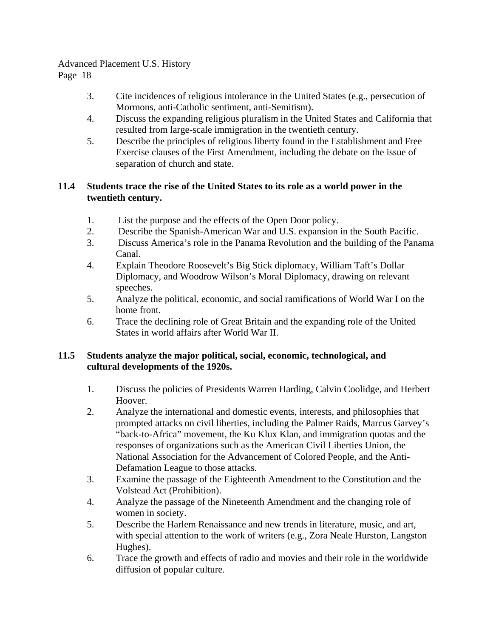- 3. Cite incidences of religious intolerance in the United States (e.g., persecution of Mormons, anti-Catholic sentiment, anti-Semitism).
- 4. Discuss the expanding religious pluralism in the United States and California that resulted from large-scale immigration in the twentieth century.
- 5. Describe the principles of religious liberty found in the Establishment and Free Exercise clauses of the First Amendment, including the debate on the issue of separation of church and state.

# **11.4 Students trace the rise of the United States to its role as a world power in the twentieth century.**

- 1. List the purpose and the effects of the Open Door policy.
- 2. Describe the Spanish-American War and U.S. expansion in the South Pacific.
- 3. Discuss America's role in the Panama Revolution and the building of the Panama Canal.
- 4. Explain Theodore Roosevelt's Big Stick diplomacy, William Taft's Dollar Diplomacy, and Woodrow Wilson's Moral Diplomacy, drawing on relevant speeches.
- 5. Analyze the political, economic, and social ramifications of World War I on the home front.
- 6. Trace the declining role of Great Britain and the expanding role of the United States in world affairs after World War II.

### **11.5 Students analyze the major political, social, economic, technological, and cultural developments of the 1920s.**

- 1. Discuss the policies of Presidents Warren Harding, Calvin Coolidge, and Herbert Hoover.
- 2. Analyze the international and domestic events, interests, and philosophies that prompted attacks on civil liberties, including the Palmer Raids, Marcus Garvey's "back-to-Africa" movement, the Ku Klux Klan, and immigration quotas and the responses of organizations such as the American Civil Liberties Union, the National Association for the Advancement of Colored People, and the Anti-Defamation League to those attacks.
- 3. Examine the passage of the Eighteenth Amendment to the Constitution and the Volstead Act (Prohibition).
- 4. Analyze the passage of the Nineteenth Amendment and the changing role of women in society.
- 5. Describe the Harlem Renaissance and new trends in literature, music, and art, with special attention to the work of writers (e.g., Zora Neale Hurston, Langston Hughes).
- 6. Trace the growth and effects of radio and movies and their role in the worldwide diffusion of popular culture.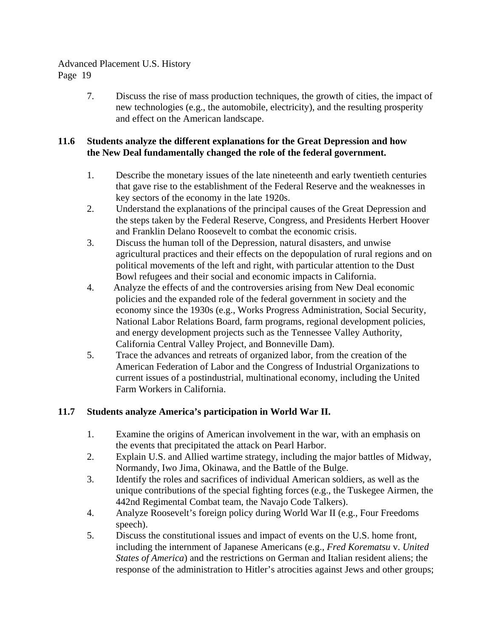7. Discuss the rise of mass production techniques, the growth of cities, the impact of new technologies (e.g., the automobile, electricity), and the resulting prosperity and effect on the American landscape.

# **11.6 Students analyze the different explanations for the Great Depression and how the New Deal fundamentally changed the role of the federal government.**

- 1. Describe the monetary issues of the late nineteenth and early twentieth centuries that gave rise to the establishment of the Federal Reserve and the weaknesses in key sectors of the economy in the late 1920s.
- 2. Understand the explanations of the principal causes of the Great Depression and the steps taken by the Federal Reserve, Congress, and Presidents Herbert Hoover and Franklin Delano Roosevelt to combat the economic crisis.
- 3. Discuss the human toll of the Depression, natural disasters, and unwise agricultural practices and their effects on the depopulation of rural regions and on political movements of the left and right, with particular attention to the Dust Bowl refugees and their social and economic impacts in California.
- 4. Analyze the effects of and the controversies arising from New Deal economic policies and the expanded role of the federal government in society and the economy since the 1930s (e.g., Works Progress Administration, Social Security, National Labor Relations Board, farm programs, regional development policies, and energy development projects such as the Tennessee Valley Authority, California Central Valley Project, and Bonneville Dam).
- 5. Trace the advances and retreats of organized labor, from the creation of the American Federation of Labor and the Congress of Industrial Organizations to current issues of a postindustrial, multinational economy, including the United Farm Workers in California.

# **11.7 Students analyze America's participation in World War II.**

- 1. Examine the origins of American involvement in the war, with an emphasis on the events that precipitated the attack on Pearl Harbor.
- 2. Explain U.S. and Allied wartime strategy, including the major battles of Midway, Normandy, Iwo Jima, Okinawa, and the Battle of the Bulge.
- 3. Identify the roles and sacrifices of individual American soldiers, as well as the unique contributions of the special fighting forces (e.g., the Tuskegee Airmen, the 442nd Regimental Combat team, the Navajo Code Talkers).
- 4. Analyze Roosevelt's foreign policy during World War II (e.g., Four Freedoms speech).
- 5. Discuss the constitutional issues and impact of events on the U.S. home front, including the internment of Japanese Americans (e.g., *Fred Korematsu* v. *United States of America*) and the restrictions on German and Italian resident aliens; the response of the administration to Hitler's atrocities against Jews and other groups;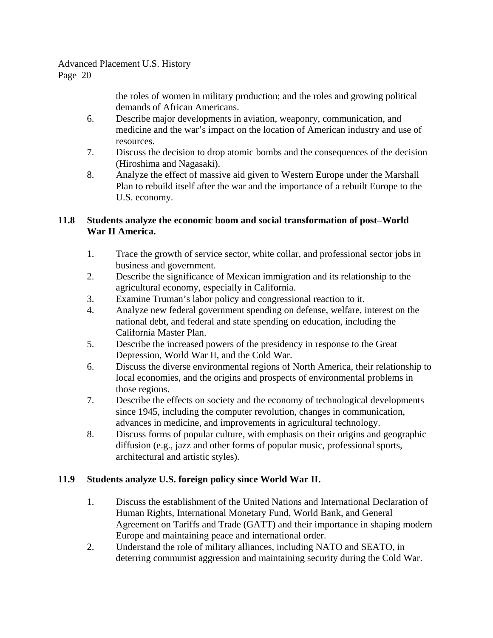> the roles of women in military production; and the roles and growing political demands of African Americans.

- 6. Describe major developments in aviation, weaponry, communication, and medicine and the war's impact on the location of American industry and use of resources.
- 7. Discuss the decision to drop atomic bombs and the consequences of the decision (Hiroshima and Nagasaki).
- 8. Analyze the effect of massive aid given to Western Europe under the Marshall Plan to rebuild itself after the war and the importance of a rebuilt Europe to the U.S. economy.

# **11.8 Students analyze the economic boom and social transformation of post–World War II America.**

- 1. Trace the growth of service sector, white collar, and professional sector jobs in business and government.
- 2. Describe the significance of Mexican immigration and its relationship to the agricultural economy, especially in California.
- 3. Examine Truman's labor policy and congressional reaction to it.
- 4. Analyze new federal government spending on defense, welfare, interest on the national debt, and federal and state spending on education, including the California Master Plan.
- 5. Describe the increased powers of the presidency in response to the Great Depression, World War II, and the Cold War.
- 6. Discuss the diverse environmental regions of North America, their relationship to local economies, and the origins and prospects of environmental problems in those regions.
- 7. Describe the effects on society and the economy of technological developments since 1945, including the computer revolution, changes in communication, advances in medicine, and improvements in agricultural technology.
- 8. Discuss forms of popular culture, with emphasis on their origins and geographic diffusion (e.g., jazz and other forms of popular music, professional sports, architectural and artistic styles).

# **11.9 Students analyze U.S. foreign policy since World War II.**

- 1. Discuss the establishment of the United Nations and International Declaration of Human Rights, International Monetary Fund, World Bank, and General Agreement on Tariffs and Trade (GATT) and their importance in shaping modern Europe and maintaining peace and international order.
- 2. Understand the role of military alliances, including NATO and SEATO, in deterring communist aggression and maintaining security during the Cold War.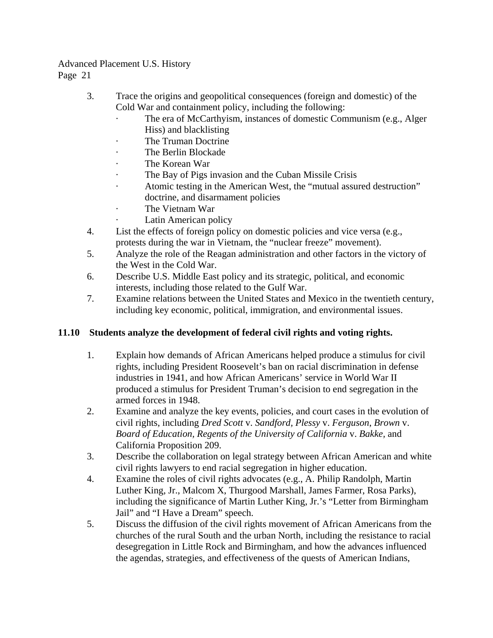- 3. Trace the origins and geopolitical consequences (foreign and domestic) of the Cold War and containment policy, including the following:
	- The era of McCarthyism, instances of domestic Communism (e.g., Alger Hiss) and blacklisting
	- The Truman Doctrine
	- The Berlin Blockade
	- The Korean War
	- The Bay of Pigs invasion and the Cuban Missile Crisis
	- Atomic testing in the American West, the "mutual assured destruction" doctrine, and disarmament policies
	- The Vietnam War
		- Latin American policy
- 4. List the effects of foreign policy on domestic policies and vice versa (e.g., protests during the war in Vietnam, the "nuclear freeze" movement).
- 5. Analyze the role of the Reagan administration and other factors in the victory of the West in the Cold War.
- 6. Describe U.S. Middle East policy and its strategic, political, and economic interests, including those related to the Gulf War.
- 7. Examine relations between the United States and Mexico in the twentieth century, including key economic, political, immigration, and environmental issues.

# **11.10 Students analyze the development of federal civil rights and voting rights.**

- 1. Explain how demands of African Americans helped produce a stimulus for civil rights, including President Roosevelt's ban on racial discrimination in defense industries in 1941, and how African Americans' service in World War II produced a stimulus for President Truman's decision to end segregation in the armed forces in 1948.
- 2. Examine and analyze the key events, policies, and court cases in the evolution of civil rights, including *Dred Scott* v. *Sandford, Plessy* v. *Ferguson*, *Brown* v. *Board of Education, Regents of the University of California* v. *Bakke,* and California Proposition 209.
- 3. Describe the collaboration on legal strategy between African American and white civil rights lawyers to end racial segregation in higher education.
- 4. Examine the roles of civil rights advocates (e.g., A. Philip Randolph, Martin Luther King, Jr., Malcom X, Thurgood Marshall, James Farmer, Rosa Parks), including the significance of Martin Luther King, Jr.'s "Letter from Birmingham Jail" and "I Have a Dream" speech.
- 5. Discuss the diffusion of the civil rights movement of African Americans from the churches of the rural South and the urban North, including the resistance to racial desegregation in Little Rock and Birmingham, and how the advances influenced the agendas, strategies, and effectiveness of the quests of American Indians,